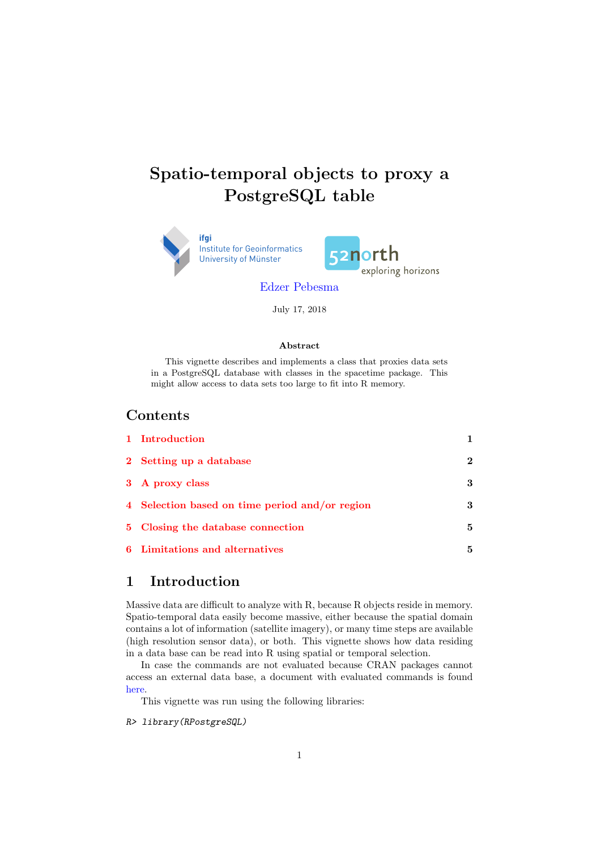# Spatio-temporal objects to proxy a PostgreSQL table



July 17, 2018

#### Abst Abstract

This vignette describes and implements a class that proxies data sets in a PostgreSQL database with classes in the spacetime package. This might allow access to data sets too large to fit into R memory.

#### Contents

| 1 Introduction                                 |                |
|------------------------------------------------|----------------|
| 2 Setting up a database                        | $\overline{2}$ |
| 3 A proxy class                                | 3              |
| 4 Selection based on time period and/or region | 3              |
| 5 Closing the database connection              | 5              |
| 6 Limitations and alternatives                 | 5              |

### <span id="page-0-0"></span>1 Introduction

Massive data are difficult to analyze with R, because R objects reside in memory. Spatio-temporal data easily become massive, either because the spatial domain contains a lot of information (satellite imagery), or many time steps are available (high resolution sensor data), or both. This vignette shows how data residing in a data base can be read into R using spatial or temporal selection.

In case the commands are not evaluated because CRAN packages cannot access an external data base, a document with evaluated commands is found [here.](http://pebesma.staff.ifgi.de/stpg.pdf)

This vignette was run using the following libraries:

```
R> library(RPostgreSQL)
```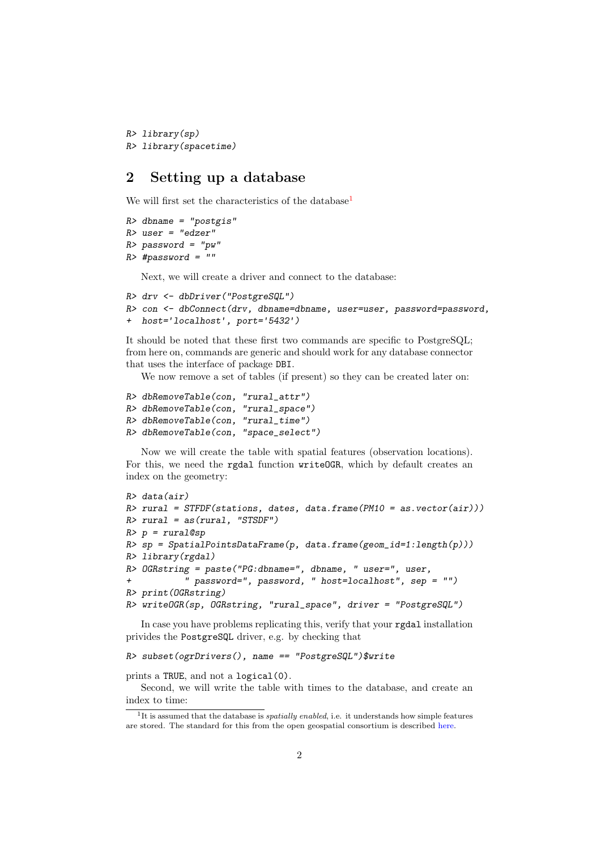R> library(sp) R> library(spacetime)

#### <span id="page-1-0"></span>2 Setting up a database

We will first set the characteristics of the database<sup>[1](#page-1-1)</sup>

```
R> dbname = "postgis"
R> user = "edzer"
R> password = "pw"
R> #password = ""
```
Next, we will create a driver and connect to the database:

```
R> drv <- dbDriver("PostgreSQL")
R> con <- dbConnect(drv, dbname=dbname, user=user, password=password,
+ host='localhost', port='5432')
```
It should be noted that these first two commands are specific to PostgreSQL; from here on, commands are generic and should work for any database connector that uses the interface of package DBI.

We now remove a set of tables (if present) so they can be created later on:

```
R> dbRemoveTable(con, "rural_attr")
R> dbRemoveTable(con, "rural_space")
R> dbRemoveTable(con, "rural_time")
R> dbRemoveTable(con, "space_select")
```
Now we will create the table with spatial features (observation locations). For this, we need the rgdal function writeOGR, which by default creates an index on the geometry:

```
R> data(air)
R> rural = STFDF(stations, dates, data.frame(PM10 = as.vector(air)))
R> rural = as(rural, "STSDF")
R> p = rural@spR> sp = SpatialPointsDataFrame(p, data.frame(geom_id=1:length(p)))
R> library(rgdal)
R> OGRstring = paste("PG:dbname=", dbname, " user=", user,
           " password=", password, " host=localhost", sep = "")
R> print(OGRstring)
R> writeOGR(sp, OGRstring, "rural_space", driver = "PostgreSQL")
```
In case you have problems replicating this, verify that your rgdal installation privides the PostgreSQL driver, e.g. by checking that

R> subset(ogrDrivers(), name == "PostgreSQL")\$write

prints a TRUE, and not a logical(0).

Second, we will write the table with times to the database, and create an index to time:

<span id="page-1-1"></span><sup>&</sup>lt;sup>1</sup>It is assumed that the database is *spatially enabled*, i.e. it understands how simple features are stored. The standard for this from the open geospatial consortium is described [here.](http://www.opengeospatial.org/standards/sfs)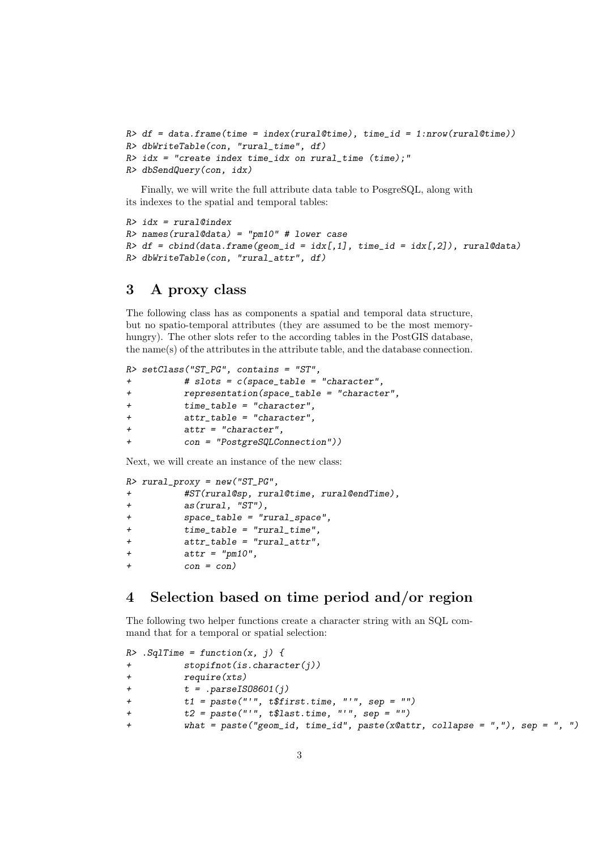```
R> df = data.frame(time = index(rural@time), time_id = 1:nrow(rural@time))
R> dbWriteTable(con, "rural_time", df)
R> idx = "create index time_idx on rural_time (time);"
R> dbSendQuery(con, idx)
```
Finally, we will write the full attribute data table to PosgreSQL, along with its indexes to the spatial and temporal tables:

```
R> idx = rural@index
R> names(rural@data) = "pm10" # lower case
R> df = cbind(data.frame(geom_id = idx[,1], time_id = idx[,2]), rural@data)
R> dbWriteTable(con, "rural_attr", df)
```
#### <span id="page-2-0"></span>3 A proxy class

The following class has as components a spatial and temporal data structure, but no spatio-temporal attributes (they are assumed to be the most memoryhungry). The other slots refer to the according tables in the PostGIS database, the name(s) of the attributes in the attribute table, and the database connection.

```
R> setClass("ST_PG", contains = "ST",
+ # slots = c(space_table = "character",
+ representation(space_table = "character",
+ time_table = "character",
+ attr_table = "character",
+ attr = "character",
         con = "PostgreSQLConnection"))
```
Next, we will create an instance of the new class:

```
R> rural_proxy = new("ST_PG",
+ #ST(rural@sp, rural@time, rural@endTime),
+ as(rural, "ST"),
+ space_table = "rural_space",
+ time_table = "rural_time",
+ attr_table = "rural_attr",
+ attr = "pm10",+ con = con)
```
#### <span id="page-2-1"></span>4 Selection based on time period and/or region

The following two helper functions create a character string with an SQL command that for a temporal or spatial selection:

```
R> .SqlTime = function(x, j) {
+ stopifnot(is.character(j))
+ require(xts)
+ t = .parseIS08601(j)+ t1 = paste("'", t$first.time, "'", sep = "")
+ t2 = paste("'", t$last.time, "'", sep = "")
         what = paste("geom_id, time_id", paste(x0attr, collapse = ", "); sep = ", ")
```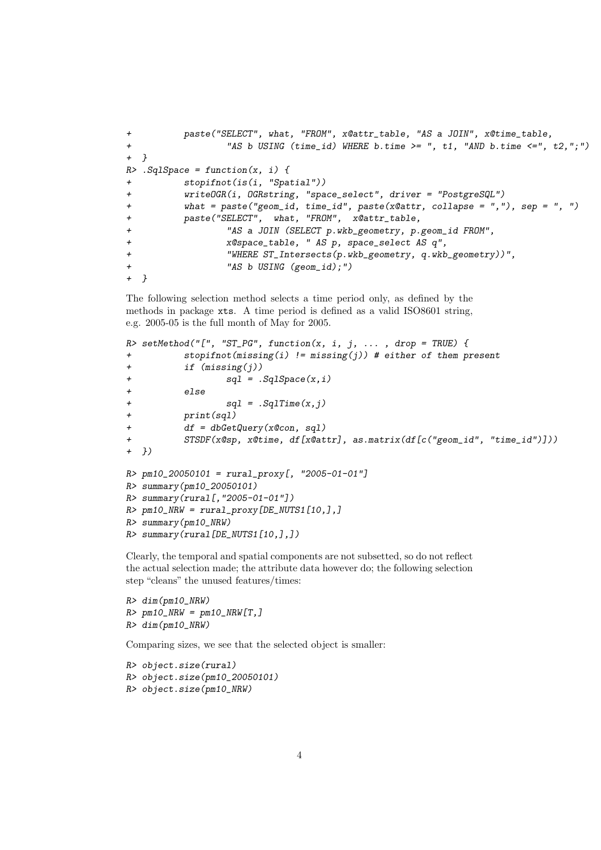```
+ paste("SELECT", what, "FROM", x@attr_table, "AS a JOIN", x@time_table,
+ "AS b USING (time_id) WHERE b.time >= ", t1, "AND b.time <=", t2,";")
+ }
R > .Sq1Space = function(x, i) {
+ stopifnot(is(i, "Spatial"))
+ writeOGR(i, OGRstring, "space_select", driver = "PostgreSQL")
+ what = paste("geom_id, time_id", paste(x@attr, collapse = ","), sep = ", ")
+ paste("SELECT", what, "FROM", x@attr_table,
+ "AS a JOIN (SELECT p.wkb_geometry, p.geom_id FROM",
+ x@space_table, " AS p, space_select AS q",
+ "WHERE ST_Intersects(p.wkb_geometry, q.wkb_geometry))",
+ "AS b USING (geom_id);")
+ }
```
The following selection method selects a time period only, as defined by the methods in package xts. A time period is defined as a valid ISO8601 string, e.g. 2005-05 is the full month of May for 2005.

```
R> setMethod("[", "ST_PG", function(x, i, j, ..., drop = TRUE) {
+ stopifnot(missing(i) != missing(j)) # either of them present
+ if (missing(j))
+ sql = .SqlSpace(x,i)+ else
+ sql = .Sq1Time(x, j)+ print(sql)
+ df = dbGetQuery(x@con, sql)
+ STSDF(x@sp, x@time, df[x@attr], as.matrix(df[c("geom_id", "time_id")]))
+ })
R > p m 10_20050101 = r w r a l_p r c x y[, "2005-01-01"]
R> summary(pm10_20050101)
R> summary(rural[,"2005-01-01"])
R> pm10_NRW = rural_proxy[DE_NUTS1[10,],]
R> summary(pm10_NRW)
R> summary(rural[DE_NUTS1[10,],])
```
Clearly, the temporal and spatial components are not subsetted, so do not reflect the actual selection made; the attribute data however do; the following selection step "cleans" the unused features/times:

```
R> dim(pm10_NRW)
R>pm10_N<sub>NRW</sub> = pm10_N<sub>NRW</sub>[T,]
R> dim(pm10_NRW)
```
Comparing sizes, we see that the selected object is smaller:

```
R> object.size(rural)
R> object.size(pm10_20050101)
R> object.size(pm10_NRW)
```